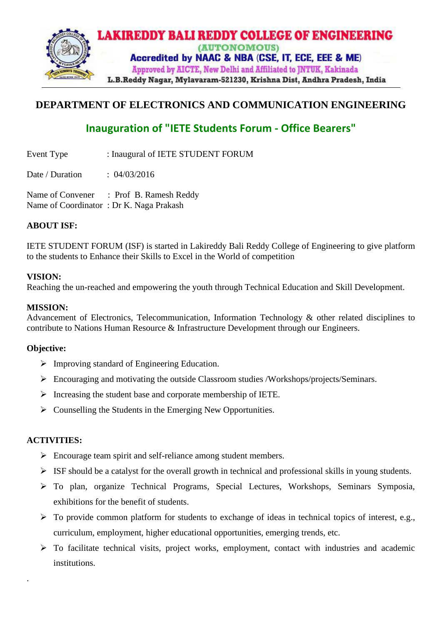

## **DEPARTMENT OF ELECTRONICS AND COMMUNICATION ENGINEERING**

# **Inauguration of "IETE Students Forum - Office Bearers"**

Event Type : Inaugural of IETE STUDENT FORUM

Date / Duration : 04/03/2016

Name of Convener : Prof B. Ramesh Reddy Name of Coordinator : Dr K. Naga Prakash

## **ABOUT ISF:**

IETE STUDENT FORUM (ISF) is started in Lakireddy Bali Reddy College of Engineering to give platform to the students to Enhance their Skills to Excel in the World of competition

#### **VISION:**

Reaching the un-reached and empowering the youth through Technical Education and Skill Development.

#### **MISSION:**

Advancement of Electronics, Telecommunication, Information Technology & other related disciplines to contribute to Nations Human Resource & Infrastructure Development through our Engineers.

#### **Objective:**

- ➢ Improving standard of Engineering Education.
- ➢ Encouraging and motivating the outside Classroom studies /Workshops/projects/Seminars.
- ➢ Increasing the student base and corporate membership of IETE.
- $\triangleright$  Counselling the Students in the Emerging New Opportunities.

## **ACTIVITIES:**

.

- ➢ Encourage team spirit and self-reliance among student members.
- $\triangleright$  ISF should be a catalyst for the overall growth in technical and professional skills in young students.
- ➢ To plan, organize Technical Programs, Special Lectures, Workshops, Seminars Symposia, exhibitions for the benefit of students.
- ➢ To provide common platform for students to exchange of ideas in technical topics of interest, e.g., curriculum, employment, higher educational opportunities, emerging trends, etc.
- ➢ To facilitate technical visits, project works, employment, contact with industries and academic institutions.